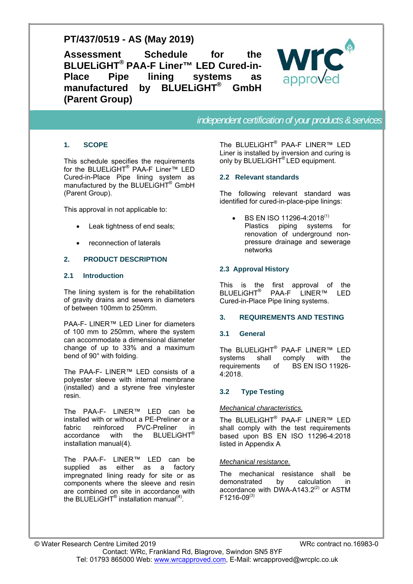# **PT/437/0519 - AS (May 2019)**

**Assessment Schedule for the BLUELiGHT® PAA-F Liner™ LED Cured-in-Place Pipe lining systems as manufactured by BLUELiGHT® GmbH (Parent Group)** 



*independent certification of your products & services* 

# **1. SCOPE**

This schedule specifies the requirements for the BLUELIGHT<sup>®</sup> PAA-F Liner™ LED Cured-in-Place Pipe lining system as manufactured by the BLUELIGHT<sup>®</sup> GmbH (Parent Group).

This approval in not applicable to:

- Leak tightness of end seals;
- reconnection of laterals

# **2. PRODUCT DESCRIPTION**

#### **2.1 Introduction**

The lining system is for the rehabilitation of gravity drains and sewers in diameters of between 100mm to 250mm.

PAA-F- LINER™ LED Liner for diameters of 100 mm to 250mm, where the system can accommodate a dimensional diameter change of up to 33% and a maximum bend of 90° with folding.

The PAA-F- LINER™ LED consists of a polyester sleeve with internal membrane (installed) and a styrene free vinylester resin.

The PAA-F- LINER™ LED can be installed with or without a PE-Preliner or a fabric reinforced PVC-Preliner in accordance with the BLUELiGHT® installation manual(4).

The PAA-F- LINER™ LED can be supplied as either as a factory impregnated lining ready for site or as components where the sleeve and resin are combined on site in accordance with the BLUELiGHT<sup>®</sup> installation manual<sup>(4)</sup>.

The BLUELiGHT® PAA-F LINER™ LED Liner is installed by inversion and curing is only by BLUELIGHT<sup>®</sup> LED equipment.

# **2.2 Relevant standards**

The following relevant standard was identified for cured-in-place-pipe linings:

BS EN ISO 11296-4:2018<sup>(1)</sup> Plastics piping systems for renovation of underground nonpressure drainage and sewerage networks

# **2.3 Approval History**

This is the first approval of the BLUELiGHT® PAA-F LINER™ LED Cured-in-Place Pipe lining systems.

#### **3. REQUIREMENTS AND TESTING**

#### **3.1 General**

The BLUELiGHT® PAA-F LINER™ LED systems shall comply with the requirements of BS EN ISO 11926- 4:2018.

# **3.2 Type Testing**

#### *Mechanical characteristics.*

The BLUELiGHT® PAA-F LINER™ LED shall comply with the test requirements based upon BS EN ISO 11296-4:2018 listed in Appendix A

#### *Mechanical resistance.*

The mechanical resistance shall be demonstrated by calculation in accordance with DWA-A143.2 $(2)$  or ASTM  $F1216-09^{(3)}$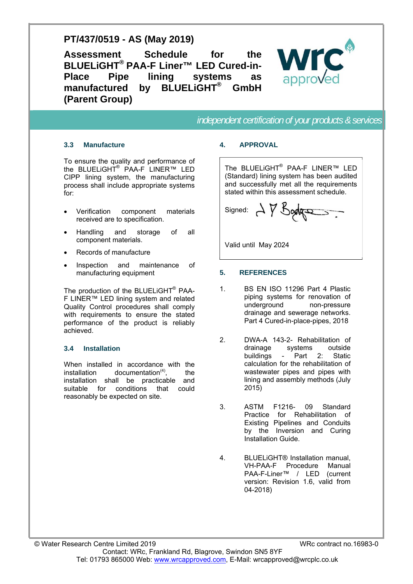# **PT/437/0519 - AS (May 2019)**

**Assessment Schedule for the BLUELiGHT® PAA-F Liner™ LED Cured-in-Place Pipe lining systems as manufactured by BLUELiGHT® GmbH (Parent Group)** 



*independent certification of your products & services* 

# **3.3 Manufacture**

To ensure the quality and performance of the BLUELiGHT<sup>®</sup> PAA-F LINER™ LED CIPP lining system, the manufacturing process shall include appropriate systems for:

- Verification component materials received are to specification.
- Handling and storage of all component materials.
- Records of manufacture
- Inspection and maintenance of manufacturing equipment

The production of the BLUELiGHT® PAA-F LINER™ LED lining system and related Quality Control procedures shall comply with requirements to ensure the stated performance of the product is reliably achieved.

# **3.4 Installation**

When installed in accordance with the installation documentation $(4)$ , the installation shall be practicable and suitable for conditions that could reasonably be expected on site.

# **4. APPROVAL**

The BLUELiGHT® PAA-F LINER™ LED (Standard) lining system has been audited and successfully met all the requirements stated within this assessment schedule.

signed:  $\Delta$   $\gamma$  Bodge

Valid until May 2024

# **5. REFERENCES**

- 1. BS EN ISO 11296 Part 4 Plastic piping systems for renovation of underground non-pressure drainage and sewerage networks. Part 4 Cured-in-place-pipes, 2018
- 2. DWA-A 143-2- Rehabilitation of drainage systems outside buildings - Part 2: Static calculation for the rehabilitation of wastewater pipes and pipes with lining and assembly methods (July 2015)
- 3. ASTM F1216- 09 Standard Practice for Rehabilitation of Existing Pipelines and Conduits by the Inversion and Curing Installation Guide.
- 4. BLUELiGHT® Installation manual, VH-PAA-F Procedure Manual PAA-F-Liner™ / LED (current version: Revision 1.6, valid from 04-2018)